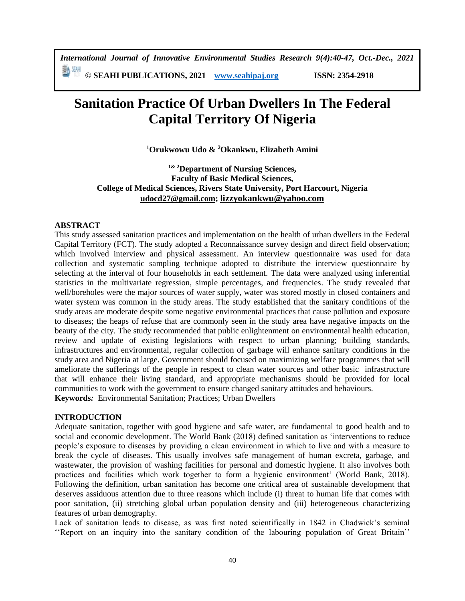*International Journal of Innovative Environmental Studies Research 9(4):40-47, Oct.-Dec., 2021* 

動洲 **© SEAHI PUBLICATIONS, 2021 [www.seahipaj.org](http://www.seahipaj.org/) ISSN: 2354-2918**

# **Sanitation Practice Of Urban Dwellers In The Federal Capital Territory Of Nigeria**

**<sup>1</sup>Orukwowu Udo & <sup>2</sup>Okankwu, Elizabeth Amini**

**1& 2Department of Nursing Sciences, Faculty of Basic Medical Sciences, College of Medical Sciences, Rivers State University, Port Harcourt, Nigeria [udocd27@gmail.com;](mailto:udocd27@gmail.com) [lizzyokankwu@yahoo.com](mailto:lizzyokankwu@yahoo.com)**

#### **ABSTRACT**

This study assessed sanitation practices and implementation on the health of urban dwellers in the Federal Capital Territory (FCT). The study adopted a Reconnaissance survey design and direct field observation; which involved interview and physical assessment. An interview questionnaire was used for data collection and systematic sampling technique adopted to distribute the interview questionnaire by selecting at the interval of four households in each settlement. The data were analyzed using inferential statistics in the multivariate regression, simple percentages, and frequencies. The study revealed that well/boreholes were the major sources of water supply, water was stored mostly in closed containers and water system was common in the study areas. The study established that the sanitary conditions of the study areas are moderate despite some negative environmental practices that cause pollution and exposure to diseases; the heaps of refuse that are commonly seen in the study area have negative impacts on the beauty of the city. The study recommended that public enlightenment on environmental health education, review and update of existing legislations with respect to urban planning; building standards, infrastructures and environmental, regular collection of garbage will enhance sanitary conditions in the study area and Nigeria at large. Government should focused on maximizing welfare programmes that will ameliorate the sufferings of the people in respect to clean water sources and other basic infrastructure that will enhance their living standard, and appropriate mechanisms should be provided for local communities to work with the government to ensure changed sanitary attitudes and behaviours. **Keywords***:* Environmental Sanitation; Practices; Urban Dwellers

#### **INTRODUCTION**

Adequate sanitation, together with good hygiene and safe water, are fundamental to good health and to social and economic development. The World Bank (2018) defined sanitation as 'interventions to reduce people's exposure to diseases by providing a clean environment in which to live and with a measure to break the cycle of diseases. This usually involves safe management of human excreta, garbage, and wastewater, the provision of washing facilities for personal and domestic hygiene. It also involves both practices and facilities which work together to form a hygienic environment' (World Bank, 2018). Following the definition, urban sanitation has become one critical area of sustainable development that deserves assiduous attention due to three reasons which include (i) threat to human life that comes with poor sanitation, (ii) stretching global urban population density and (iii) heterogeneous characterizing features of urban demography.

Lack of sanitation leads to disease, as was first noted scientifically in 1842 in Chadwick's seminal ''Report on an inquiry into the sanitary condition of the labouring population of Great Britain''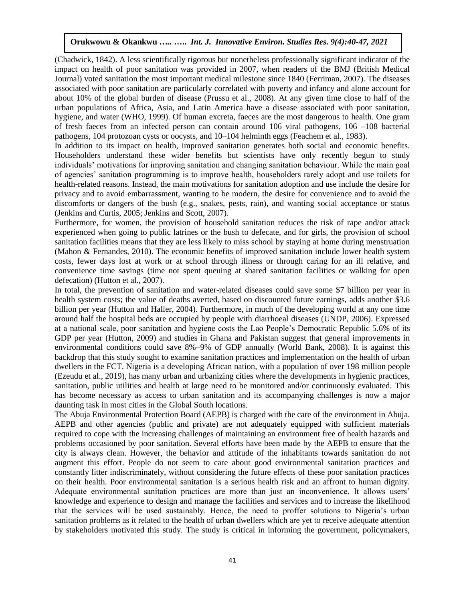(Chadwick, 1842). A less scientifically rigorous but nonetheless professionally significant indicator of the impact on health of poor sanitation was provided in 2007, when readers of the BMJ (British Medical Journal) voted sanitation the most important medical milestone since 1840 (Ferriman, 2007). The diseases associated with poor sanitation are particularly correlated with poverty and infancy and alone account for about 10% of the global burden of disease (Prussu et al., 2008). At any given time close to half of the urban populations of Africa, Asia, and Latin America have a disease associated with poor sanitation, hygiene, and water (WHO, 1999). Of human excreta, faeces are the most dangerous to health. One gram of fresh faeces from an infected person can contain around 106 viral pathogens, 106 –108 bacterial pathogens, 104 protozoan cysts or oocysts, and 10–104 helminth eggs (Feachem et al., 1983).

In addition to its impact on health, improved sanitation generates both social and economic benefits. Householders understand these wider benefits but scientists have only recently begun to study individuals' motivations for improving sanitation and changing sanitation behaviour. While the main goal of agencies' sanitation programming is to improve health, householders rarely adopt and use toilets for health-related reasons. Instead, the main motivations for sanitation adoption and use include the desire for privacy and to avoid embarrassment, wanting to be modern, the desire for convenience and to avoid the discomforts or dangers of the bush (e.g., snakes, pests, rain), and wanting social acceptance or status (Jenkins and Curtis, 2005; Jenkins and Scott, 2007).

Furthermore, for women, the provision of household sanitation reduces the risk of rape and/or attack experienced when going to public latrines or the bush to defecate, and for girls, the provision of school sanitation facilities means that they are less likely to miss school by staying at home during menstruation (Mahon & Fernandes, 2010). The economic benefits of improved sanitation include lower health system costs, fewer days lost at work or at school through illness or through caring for an ill relative, and convenience time savings (time not spent queuing at shared sanitation facilities or walking for open defecation) (Hutton et al., 2007).

In total, the prevention of sanitation and water-related diseases could save some \$7 billion per year in health system costs; the value of deaths averted, based on discounted future earnings, adds another \$3.6 billion per year (Hutton and Haller, 2004). Furthermore, in much of the developing world at any one time around half the hospital beds are occupied by people with diarrhoeal diseases (UNDP, 2006). Expressed at a national scale, poor sanitation and hygiene costs the Lao People's Democratic Republic 5.6% of its GDP per year (Hutton, 2009) and studies in Ghana and Pakistan suggest that general improvements in environmental conditions could save 8%–9% of GDP annually (World Bank, 2008). It is against this backdrop that this study sought to examine sanitation practices and implementation on the health of urban dwellers in the FCT. Nigeria is a developing African nation, with a population of over 198 million people (Ezeudu et al., 2019), has many urban and urbanizing cities where the developments in hygienic practices, sanitation, public utilities and health at large need to be monitored and/or continuously evaluated. This has become necessary as access to urban sanitation and its accompanying challenges is now a major daunting task in most cities in the Global South locations.

The Abuja Environmental Protection Board (AEPB) is charged with the care of the environment in Abuja. AEPB and other agencies (public and private) are not adequately equipped with sufficient materials required to cope with the increasing challenges of maintaining an environment free of health hazards and problems occasioned by poor sanitation. Several efforts have been made by the AEPB to ensure that the city is always clean. However, the behavior and attitude of the inhabitants towards sanitation do not augment this effort. People do not seem to care about good environmental sanitation practices and constantly litter indiscriminately, without considering the future effects of these poor sanitation practices on their health. Poor environmental sanitation is a serious health risk and an affront to human dignity. Adequate environmental sanitation practices are more than just an inconvenience. It allows users' knowledge and experience to design and manage the facilities and services and to increase the likelihood that the services will be used sustainably. Hence, the need to proffer solutions to Nigeria's urban sanitation problems as it related to the health of urban dwellers which are yet to receive adequate attention by stakeholders motivated this study. The study is critical in informing the government, policymakers,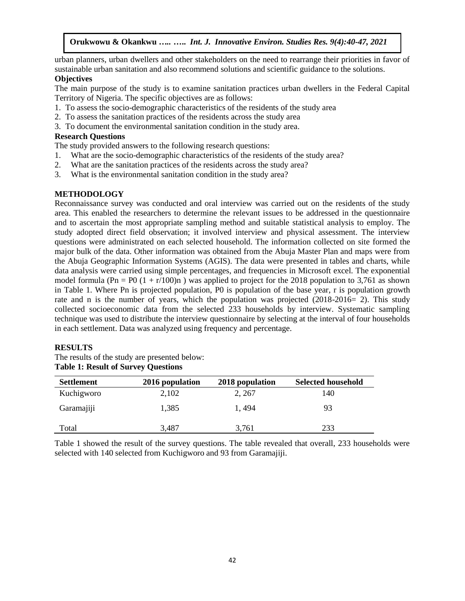urban planners, urban dwellers and other stakeholders on the need to rearrange their priorities in favor of sustainable urban sanitation and also recommend solutions and scientific guidance to the solutions.

# **Objectives**

The main purpose of the study is to examine sanitation practices urban dwellers in the Federal Capital Territory of Nigeria. The specific objectives are as follows:

- 1. To assess the socio-demographic characteristics of the residents of the study area
- 2. To assess the sanitation practices of the residents across the study area
- 3. To document the environmental sanitation condition in the study area.

#### **Research Questions**

The study provided answers to the following research questions:

- 1. What are the socio-demographic characteristics of the residents of the study area?
- 2. What are the sanitation practices of the residents across the study area?
- 3. What is the environmental sanitation condition in the study area?

## **METHODOLOGY**

Reconnaissance survey was conducted and oral interview was carried out on the residents of the study area. This enabled the researchers to determine the relevant issues to be addressed in the questionnaire and to ascertain the most appropriate sampling method and suitable statistical analysis to employ. The study adopted direct field observation; it involved interview and physical assessment. The interview questions were administrated on each selected household. The information collected on site formed the major bulk of the data. Other information was obtained from the Abuja Master Plan and maps were from the Abuja Geographic Information Systems (AGIS). The data were presented in tables and charts, while data analysis were carried using simple percentages, and frequencies in Microsoft excel. The exponential model formula (Pn = P0  $(1 + r/100)$ n) was applied to project for the 2018 population to 3,761 as shown in Table 1. Where Pn is projected population, P0 is population of the base year, r is population growth rate and n is the number of years, which the population was projected (2018-2016= 2). This study collected socioeconomic data from the selected 233 households by interview. Systematic sampling technique was used to distribute the interview questionnaire by selecting at the interval of four households in each settlement. Data was analyzed using frequency and percentage.

## **RESULTS**

The results of the study are presented below: **Table 1: Result of Survey Questions**

| <b>Settlement</b> | 2016 population | 2018 population | <b>Selected household</b> |
|-------------------|-----------------|-----------------|---------------------------|
| Kuchigworo        | 2,102           | 2, 267          | 140                       |
| Garamajiji        | 1,385           | 1.494           | 93                        |
| Total             | 3,487           | 3,761           | 233                       |

Table 1 showed the result of the survey questions. The table revealed that overall, 233 households were selected with 140 selected from Kuchigworo and 93 from Garamajiji.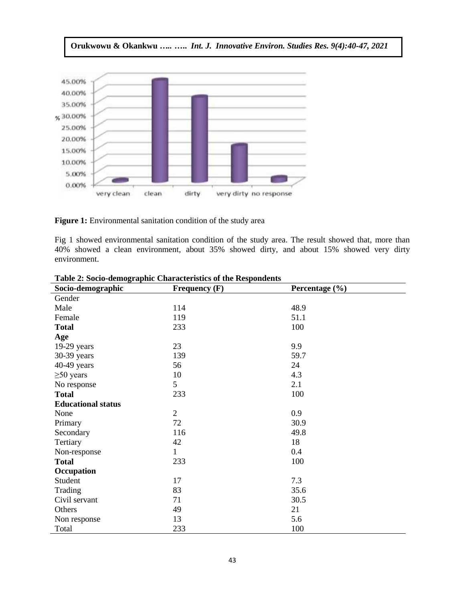

Figure 1: Environmental sanitation condition of the study area

Fig 1 showed environmental sanitation condition of the study area. The result showed that, more than 40% showed a clean environment, about 35% showed dirty, and about 15% showed very dirty environment.

| Socio-demographic         | Frequency $(F)$ | Percentage $(\% )$ |
|---------------------------|-----------------|--------------------|
| Gender                    |                 |                    |
| Male                      | 114             | 48.9               |
| Female                    | 119             | 51.1               |
| <b>Total</b>              | 233             | 100                |
| Age                       |                 |                    |
| $19-29$ years             | 23              | 9.9                |
| 30-39 years               | 139             | 59.7               |
| 40-49 years               | 56              | 24                 |
| $\geq 50$ years           | 10              | 4.3                |
| No response               | 5               | 2.1                |
| <b>Total</b>              | 233             | 100                |
| <b>Educational status</b> |                 |                    |
| None                      | $\overline{2}$  | 0.9                |
| Primary                   | 72              | 30.9               |
| Secondary                 | 116             | 49.8               |
| Tertiary                  | 42              | 18                 |
| Non-response              | $\mathbf{1}$    | 0.4                |
| <b>Total</b>              | 233             | 100                |
| Occupation                |                 |                    |
| Student                   | 17              | 7.3                |
| Trading                   | 83              | 35.6               |
| Civil servant             | 71              | 30.5               |
| Others                    | 49              | 21                 |
| Non response              | 13              | 5.6                |
| Total                     | 233             | 100                |

**Table 2: Socio-demographic Characteristics of the Respondents**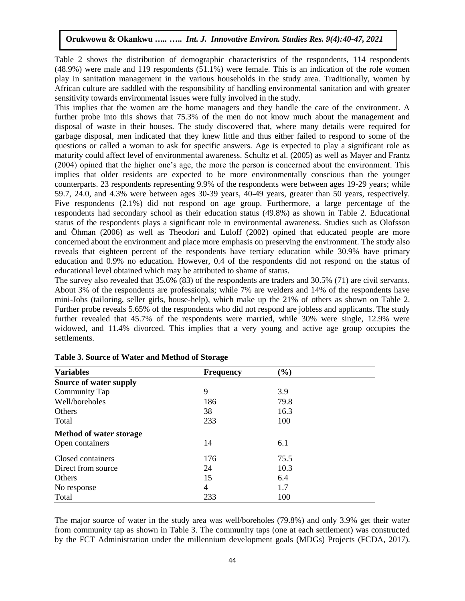Table 2 shows the distribution of demographic characteristics of the respondents, 114 respondents (48.9%) were male and 119 respondents (51.1%) were female. This is an indication of the role women play in sanitation management in the various households in the study area. Traditionally, women by African culture are saddled with the responsibility of handling environmental sanitation and with greater sensitivity towards environmental issues were fully involved in the study.

This implies that the women are the home managers and they handle the care of the environment. A further probe into this shows that 75.3% of the men do not know much about the management and disposal of waste in their houses. The study discovered that, where many details were required for garbage disposal, men indicated that they knew little and thus either failed to respond to some of the questions or called a woman to ask for specific answers. Age is expected to play a significant role as maturity could affect level of environmental awareness. Schultz et al. (2005) as well as Mayer and Frantz (2004) opined that the higher one's age, the more the person is concerned about the environment. This implies that older residents are expected to be more environmentally conscious than the younger counterparts. 23 respondents representing 9.9% of the respondents were between ages 19-29 years; while 59.7, 24.0, and 4.3% were between ages 30-39 years, 40-49 years, greater than 50 years, respectively. Five respondents (2.1%) did not respond on age group. Furthermore, a large percentage of the respondents had secondary school as their education status (49.8%) as shown in Table 2. Educational status of the respondents plays a significant role in environmental awareness. Studies such as Olofsson and Öhman (2006) as well as Theodori and Luloff (2002) opined that educated people are more concerned about the environment and place more emphasis on preserving the environment. The study also reveals that eighteen percent of the respondents have tertiary education while 30.9% have primary education and 0.9% no education. However, 0.4 of the respondents did not respond on the status of educational level obtained which may be attributed to shame of status.

The survey also revealed that 35.6% (83) of the respondents are traders and 30.5% (71) are civil servants. About 3% of the respondents are professionals; while 7% are welders and 14% of the respondents have mini-Jobs (tailoring, seller girls, house-help), which make up the 21% of others as shown on Table 2. Further probe reveals 5.65% of the respondents who did not respond are jobless and applicants. The study further revealed that 45.7% of the respondents were married, while 30% were single, 12.9% were widowed, and 11.4% divorced. This implies that a very young and active age group occupies the settlements.

| <b>Variables</b>               | <b>Frequency</b> | $(\%)$ |  |
|--------------------------------|------------------|--------|--|
| Source of water supply         |                  |        |  |
| Community Tap                  | 9                | 3.9    |  |
| Well/boreholes                 | 186              | 79.8   |  |
| Others                         | 38               | 16.3   |  |
| Total                          | 233              | 100    |  |
| <b>Method of water storage</b> |                  |        |  |
| Open containers                | 14               | 6.1    |  |
| Closed containers              | 176              | 75.5   |  |
| Direct from source             | 24               | 10.3   |  |
| Others                         | 15               | 6.4    |  |
| No response                    | $\overline{4}$   | 1.7    |  |
| Total                          | 233              | 100    |  |

The major source of water in the study area was well/boreholes (79.8%) and only 3.9% get their water from community tap as shown in Table 3. The community taps (one at each settlement) was constructed by the FCT Administration under the millennium development goals (MDGs) Projects (FCDA, 2017).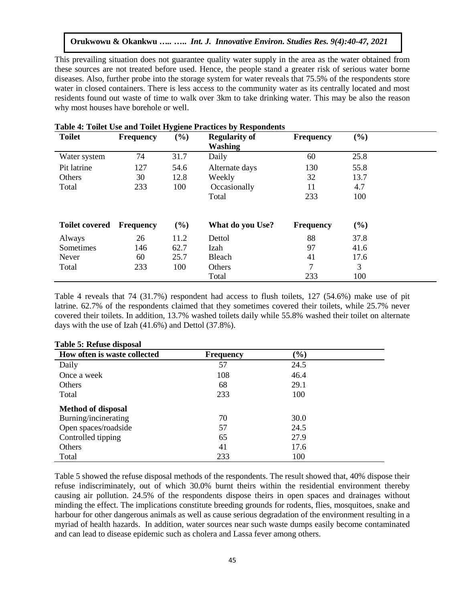This prevailing situation does not guarantee quality water supply in the area as the water obtained from these sources are not treated before used. Hence, the people stand a greater risk of serious water borne diseases. Also, further probe into the storage system for water reveals that 75.5% of the respondents store water in closed containers. There is less access to the community water as its centrally located and most residents found out waste of time to walk over 3km to take drinking water. This may be also the reason why most houses have borehole or well.

| <b>Toilet</b>         | <b>Frequency</b> | . .<br>(%) | <b>Regularity of</b><br><b>Washing</b> | <b>Frequency</b> | (%)  |  |
|-----------------------|------------------|------------|----------------------------------------|------------------|------|--|
| Water system          | 74               | 31.7       | Daily                                  | 60               | 25.8 |  |
| Pit latrine           | 127              | 54.6       | Alternate days                         | 130              | 55.8 |  |
| Others                | 30               | 12.8       | Weekly                                 | 32               | 13.7 |  |
| Total                 | 233              | 100        | Occasionally                           | 11               | 4.7  |  |
|                       |                  |            | Total                                  | 233              | 100  |  |
| <b>Toilet covered</b> | <b>Frequency</b> | (%)        | What do you Use?                       | <b>Frequency</b> | (%)  |  |
| Always                | 26               | 11.2       | Dettol                                 | 88               | 37.8 |  |
| Sometimes             | 146              | 62.7       | Izah                                   | 97               | 41.6 |  |
| Never                 | 60               | 25.7       | Bleach                                 | 41               | 17.6 |  |
| Total                 | 233              | 100        | Others                                 | 7                | 3    |  |
|                       |                  |            | Total                                  | 233              | 100  |  |

## **Table 4: Toilet Use and Toilet Hygiene Practices by Respondents**

Table 4 reveals that 74 (31.7%) respondent had access to flush toilets, 127 (54.6%) make use of pit latrine. 62.7% of the respondents claimed that they sometimes covered their toilets, while 25.7% never covered their toilets. In addition, 13.7% washed toilets daily while 55.8% washed their toilet on alternate days with the use of Izah (41.6%) and Dettol (37.8%).

| Table 5. Refuse uisposal     |                  |        |  |
|------------------------------|------------------|--------|--|
| How often is waste collected | <b>Frequency</b> | $(\%)$ |  |
| Daily                        | 57               | 24.5   |  |
| Once a week                  | 108              | 46.4   |  |
| <b>Others</b>                | 68               | 29.1   |  |
| Total                        | 233              | 100    |  |
| <b>Method of disposal</b>    |                  |        |  |
| Burning/incinerating         | 70               | 30.0   |  |
| Open spaces/roadside         | 57               | 24.5   |  |
| Controlled tipping           | 65               | 27.9   |  |
| Others                       | 41               | 17.6   |  |
| Total                        | 233              | 100    |  |

#### **Table 5: Refuse disposal**

Table 5 showed the refuse disposal methods of the respondents. The result showed that, 40% dispose their refuse indiscriminately, out of which 30.0% burnt theirs within the residential environment thereby causing air pollution. 24.5% of the respondents dispose theirs in open spaces and drainages without minding the effect. The implications constitute breeding grounds for rodents, flies, mosquitoes, snake and harbour for other dangerous animals as well as cause serious degradation of the environment resulting in a myriad of health hazards. In addition, water sources near such waste dumps easily become contaminated and can lead to disease epidemic such as cholera and Lassa fever among others.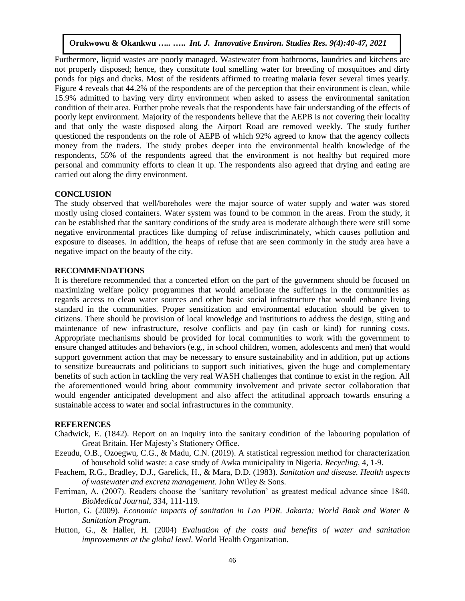Furthermore, liquid wastes are poorly managed. Wastewater from bathrooms, laundries and kitchens are not properly disposed; hence, they constitute foul smelling water for breeding of mosquitoes and dirty ponds for pigs and ducks. Most of the residents affirmed to treating malaria fever several times yearly. Figure 4 reveals that 44.2% of the respondents are of the perception that their environment is clean, while 15.9% admitted to having very dirty environment when asked to assess the environmental sanitation condition of their area. Further probe reveals that the respondents have fair understanding of the effects of poorly kept environment. Majority of the respondents believe that the AEPB is not covering their locality and that only the waste disposed along the Airport Road are removed weekly. The study further questioned the respondents on the role of AEPB of which 92% agreed to know that the agency collects money from the traders. The study probes deeper into the environmental health knowledge of the respondents, 55% of the respondents agreed that the environment is not healthy but required more personal and community efforts to clean it up. The respondents also agreed that drying and eating are carried out along the dirty environment.

#### **CONCLUSION**

The study observed that well/boreholes were the major source of water supply and water was stored mostly using closed containers. Water system was found to be common in the areas. From the study, it can be established that the sanitary conditions of the study area is moderate although there were still some negative environmental practices like dumping of refuse indiscriminately, which causes pollution and exposure to diseases. In addition, the heaps of refuse that are seen commonly in the study area have a negative impact on the beauty of the city.

#### **RECOMMENDATIONS**

It is therefore recommended that a concerted effort on the part of the government should be focused on maximizing welfare policy programmes that would ameliorate the sufferings in the communities as regards access to clean water sources and other basic social infrastructure that would enhance living standard in the communities. Proper sensitization and environmental education should be given to citizens. There should be provision of local knowledge and institutions to address the design, siting and maintenance of new infrastructure, resolve conflicts and pay (in cash or kind) for running costs. Appropriate mechanisms should be provided for local communities to work with the government to ensure changed attitudes and behaviors (e.g., in school children, women, adolescents and men) that would support government action that may be necessary to ensure sustainability and in addition, put up actions to sensitize bureaucrats and politicians to support such initiatives, given the huge and complementary benefits of such action in tackling the very real WASH challenges that continue to exist in the region. All the aforementioned would bring about community involvement and private sector collaboration that would engender anticipated development and also affect the attitudinal approach towards ensuring a sustainable access to water and social infrastructures in the community.

#### **REFERENCES**

- Chadwick, E. (1842). Report on an inquiry into the sanitary condition of the labouring population of Great Britain. Her Majesty's Stationery Office.
- Ezeudu, O.B., Ozoegwu, C.G., & Madu, C.N. (2019). A statistical regression method for characterization of household solid waste: a case study of Awka municipality in Nigeria. *Recycling*, 4, 1-9.
- Feachem, R.G., Bradley, D.J., Garelick, H., & Mara, D.D. (1983). *Sanitation and disease. Health aspects of wastewater and excreta management.* John Wiley & Sons.
- Ferriman, A. (2007). Readers choose the 'sanitary revolution' as greatest medical advance since 1840. *BioMedical Journal*, 334, 111-119.
- Hutton, G. (2009). *Economic impacts of sanitation in Lao PDR. Jakarta: World Bank and Water & Sanitation Program*.
- Hutton, G., & Haller, H. (2004) *Evaluation of the costs and benefits of water and sanitation improvements at the global level.* World Health Organization.